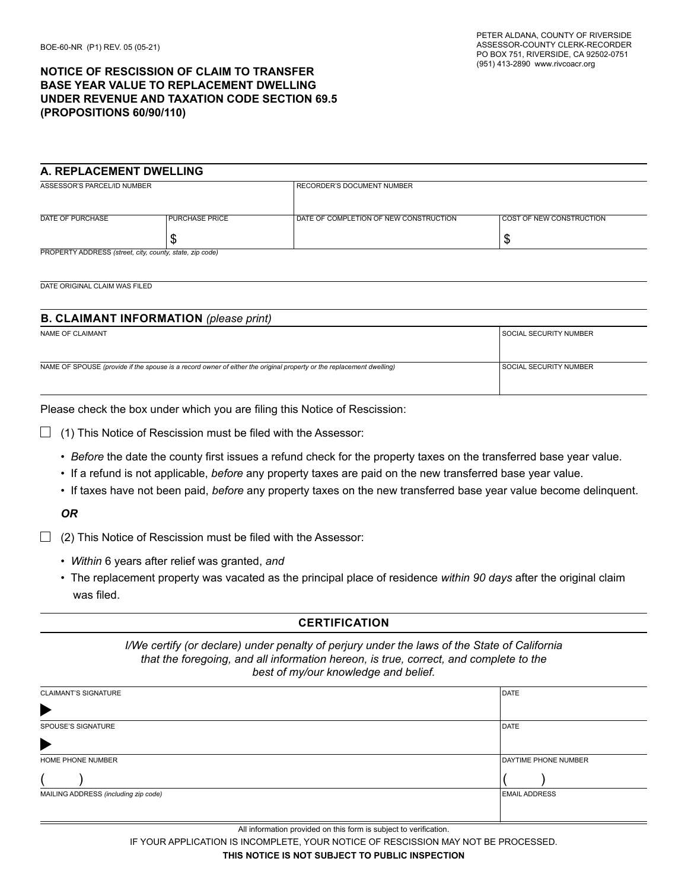# **NoTICE of RESCISSIoN of CLAIM To TRANSfER BASE YEAR VALUE To REPLACEMENT DWELLING UNDER REVENUE AND TAXATIoN CoDE SECTIoN 69.5 (PRoPoSITIoNS 60/90/110)**

### **A. REPLACEMENT DWELLING**

| ASSESSOR'S PARCEL/ID NUMBER                              |                       | I RECORDER'S DOCUMENT NUMBER             |                                 |  |
|----------------------------------------------------------|-----------------------|------------------------------------------|---------------------------------|--|
|                                                          |                       |                                          |                                 |  |
|                                                          |                       |                                          |                                 |  |
|                                                          |                       |                                          |                                 |  |
|                                                          |                       |                                          |                                 |  |
| DATE OF PURCHASE                                         | <b>PURCHASE PRICE</b> | I DATE OF COMPLETION OF NEW CONSTRUCTION | <b>COST OF NEW CONSTRUCTION</b> |  |
|                                                          |                       |                                          |                                 |  |
|                                                          |                       |                                          |                                 |  |
|                                                          | S                     |                                          | ٨IJ                             |  |
|                                                          |                       |                                          |                                 |  |
| PROPERTY ADDRESS (street, city, county, state, zip code) |                       |                                          |                                 |  |
|                                                          |                       |                                          |                                 |  |

DATE ORIGINAL CLAIM WAS FILED

### **B. CLAIMANT INfoRMATIoN** *(please print)*

| NAME OF CLAIMANT                                                                                                     | I SOCIAL SECURITY NUMBER |
|----------------------------------------------------------------------------------------------------------------------|--------------------------|
|                                                                                                                      |                          |
|                                                                                                                      |                          |
| NAME OF SPOUSE (provide if the spouse is a record owner of either the original property or the replacement dwelling) | SOCIAL SECURITY NUMBER   |
|                                                                                                                      |                          |
|                                                                                                                      |                          |

Please check the box under which you are filing this Notice of Rescission:

 $\Box$  (1) This Notice of Rescission must be filed with the Assessor:

- Before the date the county first issues a refund check for the property taxes on the transferred base year value.
- If a refund is not applicable, before any property taxes are paid on the new transferred base year value.
- If taxes have not been paid, before any property taxes on the new transferred base year value become delinquent.

*OR*

 $\Box$  (2) This Notice of Rescission must be filed with the Assessor:

- Within 6 years after relief was granted, and
- The replacement property was vacated as the principal place of residence within 90 days after the original claim was filed.

#### **CERTIFICATION**

*I/We certify (or declare) under penalty of perjury under the laws of the State of California that the foregoing, and all information hereon, is true, correct, and complete to the best of my/our knowledge and belief.*

| <b>CLAIMANT'S SIGNATURE</b>          | <b>DATE</b>                 |
|--------------------------------------|-----------------------------|
| $\blacktriangleright$                |                             |
| SPOUSE'S SIGNATURE                   | DATE                        |
| $\blacktriangleright$                |                             |
| HOME PHONE NUMBER                    | <b>DAYTIME PHONE NUMBER</b> |
|                                      |                             |
| MAILING ADDRESS (including zip code) | <b>EMAIL ADDRESS</b>        |
|                                      |                             |
|                                      |                             |

All information provided on this form is subject to verification.

IF YOUR APPLICATION IS INCOMPLETE, YOUR NOTICE OF RESCISSION MAY NOT BE PROCESSED.

**THIS NoTICE IS NoT SUBJECT To PUBLIC INSPECTIoN**